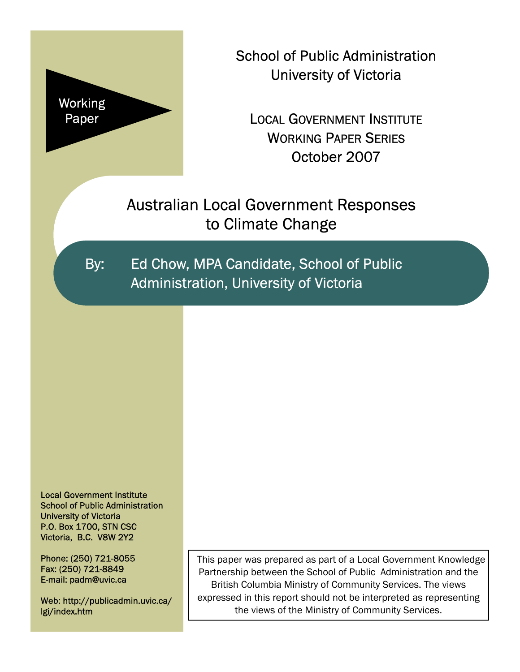

School of Public Administration University of Victoria

LOCAL GOVERNMENT INSTITUTE WORKING PAPER SERIES October 2007

Australian Local Government Responses to Climate Change

By: Ed Chow, MPA Candidate, School of Public Administration, University of Victoria

Local Government Institute School of Public Administration University of Victoria P.O. Box 1700, STN CSC Victoria, B.C. V8W 2Y2

Phone: (250) 721-8055 Fax: (250) 721-8849 E-mail: padm@uvic.ca

Web: http://publicadmin.uvic.ca/ lgi/index.htm

This paper was prepared as part of a Local Government Knowledge Partnership between the School of Public Administration and the British Columbia Ministry of Community Services. The views expressed in this report should not be interpreted as representing the views of the Ministry of Community Services.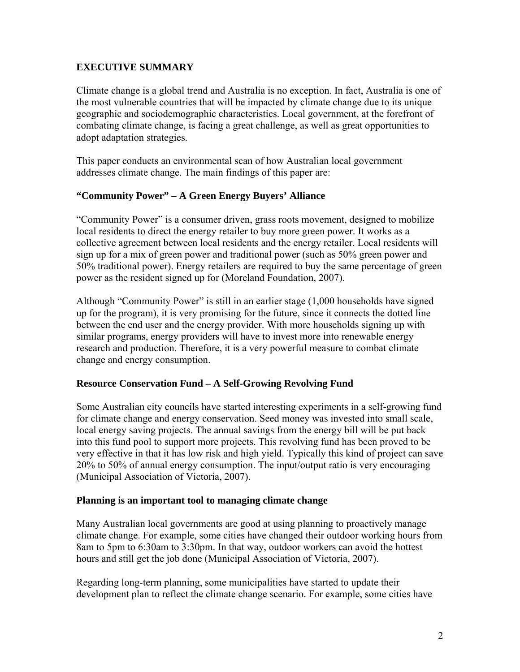## **EXECUTIVE SUMMARY**

Climate change is a global trend and Australia is no exception. In fact, Australia is one of the most vulnerable countries that will be impacted by climate change due to its unique geographic and sociodemographic characteristics. Local government, at the forefront of combating climate change, is facing a great challenge, as well as great opportunities to adopt adaptation strategies.

This paper conducts an environmental scan of how Australian local government addresses climate change. The main findings of this paper are:

#### **"Community Power" – A Green Energy Buyers' Alliance**

"Community Power" is a consumer driven, grass roots movement, designed to mobilize local residents to direct the energy retailer to buy more green power. It works as a collective agreement between local residents and the energy retailer. Local residents will sign up for a mix of green power and traditional power (such as 50% green power and 50% traditional power). Energy retailers are required to buy the same percentage of green power as the resident signed up for (Moreland Foundation, 2007).

Although "Community Power" is still in an earlier stage (1,000 households have signed up for the program), it is very promising for the future, since it connects the dotted line between the end user and the energy provider. With more households signing up with similar programs, energy providers will have to invest more into renewable energy research and production. Therefore, it is a very powerful measure to combat climate change and energy consumption.

#### **Resource Conservation Fund – A Self-Growing Revolving Fund**

Some Australian city councils have started interesting experiments in a self-growing fund for climate change and energy conservation. Seed money was invested into small scale, local energy saving projects. The annual savings from the energy bill will be put back into this fund pool to support more projects. This revolving fund has been proved to be very effective in that it has low risk and high yield. Typically this kind of project can save 20% to 50% of annual energy consumption. The input/output ratio is very encouraging (Municipal Association of Victoria, 2007).

#### **Planning is an important tool to managing climate change**

Many Australian local governments are good at using planning to proactively manage climate change. For example, some cities have changed their outdoor working hours from 8am to 5pm to 6:30am to 3:30pm. In that way, outdoor workers can avoid the hottest hours and still get the job done (Municipal Association of Victoria, 2007).

Regarding long-term planning, some municipalities have started to update their development plan to reflect the climate change scenario. For example, some cities have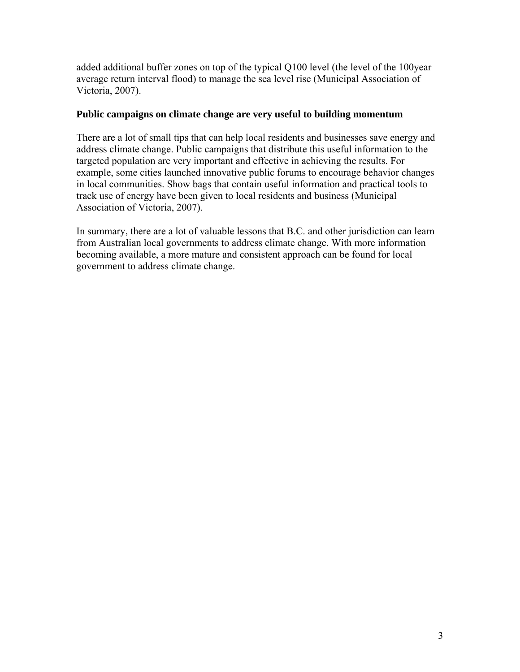added additional buffer zones on top of the typical Q100 level (the level of the 100year average return interval flood) to manage the sea level rise (Municipal Association of Victoria, 2007).

#### **Public campaigns on climate change are very useful to building momentum**

There are a lot of small tips that can help local residents and businesses save energy and address climate change. Public campaigns that distribute this useful information to the targeted population are very important and effective in achieving the results. For example, some cities launched innovative public forums to encourage behavior changes in local communities. Show bags that contain useful information and practical tools to track use of energy have been given to local residents and business (Municipal Association of Victoria, 2007).

In summary, there are a lot of valuable lessons that B.C. and other jurisdiction can learn from Australian local governments to address climate change. With more information becoming available, a more mature and consistent approach can be found for local government to address climate change.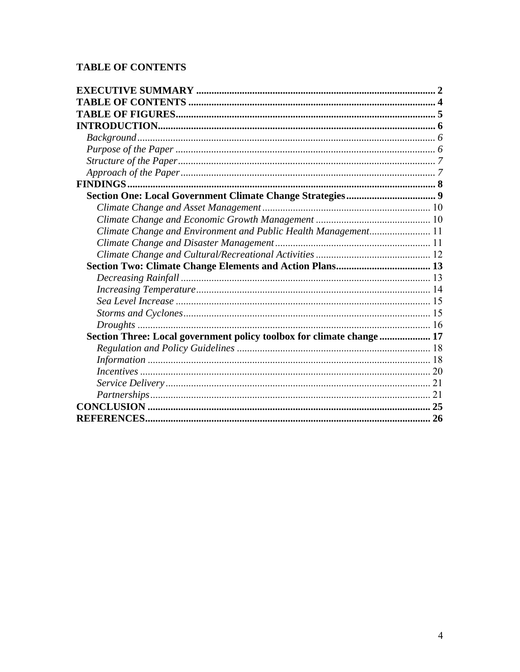## **TABLE OF CONTENTS**

| Climate Change and Environment and Public Health Management 11        |           |
|-----------------------------------------------------------------------|-----------|
|                                                                       |           |
|                                                                       |           |
|                                                                       |           |
|                                                                       |           |
|                                                                       |           |
|                                                                       |           |
|                                                                       |           |
|                                                                       |           |
| Section Three: Local government policy toolbox for climate change  17 |           |
|                                                                       |           |
|                                                                       |           |
|                                                                       |           |
|                                                                       |           |
|                                                                       |           |
|                                                                       |           |
|                                                                       | <b>26</b> |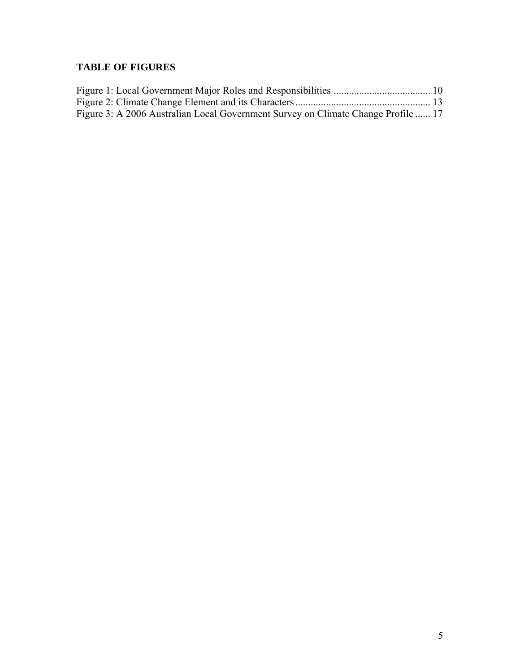## **TABLE OF FIGURES**

| Figure 3: A 2006 Australian Local Government Survey on Climate Change Profile  17 |  |
|-----------------------------------------------------------------------------------|--|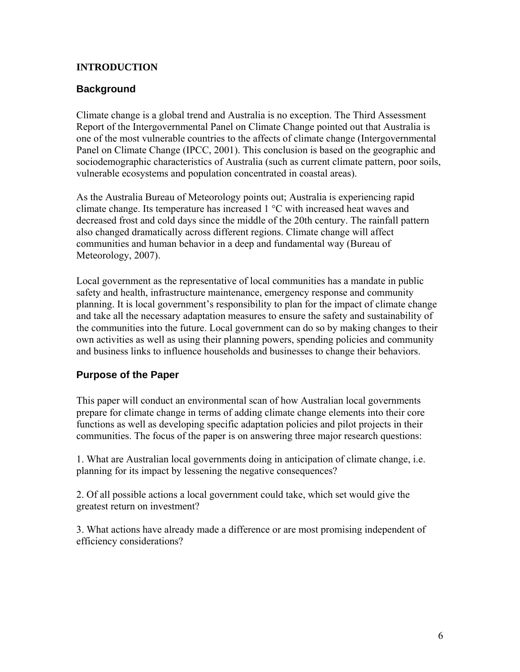### **INTRODUCTION**

## **Background**

Climate change is a global trend and Australia is no exception. The Third Assessment Report of the Intergovernmental Panel on Climate Change pointed out that Australia is one of the most vulnerable countries to the affects of climate change (Intergovernmental Panel on Climate Change (IPCC, 2001). This conclusion is based on the geographic and sociodemographic characteristics of Australia (such as current climate pattern, poor soils, vulnerable ecosystems and population concentrated in coastal areas).

As the Australia Bureau of Meteorology points out; Australia is experiencing rapid climate change. Its temperature has increased 1 °C with increased heat waves and decreased frost and cold days since the middle of the 20th century. The rainfall pattern also changed dramatically across different regions. Climate change will affect communities and human behavior in a deep and fundamental way (Bureau of Meteorology, 2007).

Local government as the representative of local communities has a mandate in public safety and health, infrastructure maintenance, emergency response and community planning. It is local government's responsibility to plan for the impact of climate change and take all the necessary adaptation measures to ensure the safety and sustainability of the communities into the future. Local government can do so by making changes to their own activities as well as using their planning powers, spending policies and community and business links to influence households and businesses to change their behaviors.

## **Purpose of the Paper**

This paper will conduct an environmental scan of how Australian local governments prepare for climate change in terms of adding climate change elements into their core functions as well as developing specific adaptation policies and pilot projects in their communities. The focus of the paper is on answering three major research questions:

1. What are Australian local governments doing in anticipation of climate change, i.e. planning for its impact by lessening the negative consequences?

2. Of all possible actions a local government could take, which set would give the greatest return on investment?

3. What actions have already made a difference or are most promising independent of efficiency considerations?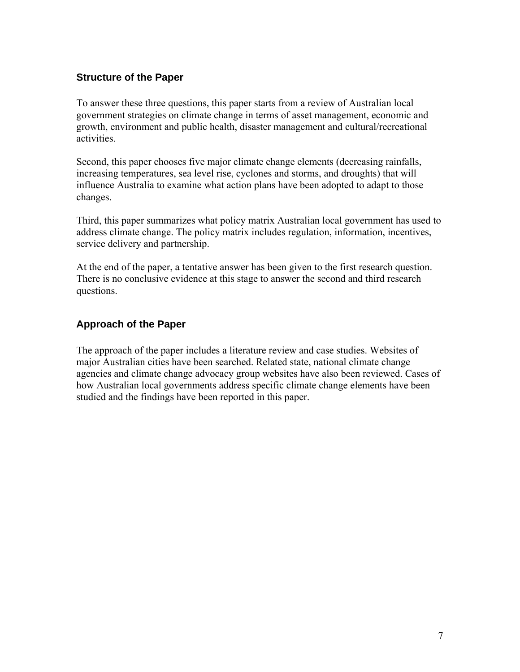## **Structure of the Paper**

To answer these three questions, this paper starts from a review of Australian local government strategies on climate change in terms of asset management, economic and growth, environment and public health, disaster management and cultural/recreational activities.

Second, this paper chooses five major climate change elements (decreasing rainfalls, increasing temperatures, sea level rise, cyclones and storms, and droughts) that will influence Australia to examine what action plans have been adopted to adapt to those changes.

Third, this paper summarizes what policy matrix Australian local government has used to address climate change. The policy matrix includes regulation, information, incentives, service delivery and partnership.

At the end of the paper, a tentative answer has been given to the first research question. There is no conclusive evidence at this stage to answer the second and third research questions.

## **Approach of the Paper**

The approach of the paper includes a literature review and case studies. Websites of major Australian cities have been searched. Related state, national climate change agencies and climate change advocacy group websites have also been reviewed. Cases of how Australian local governments address specific climate change elements have been studied and the findings have been reported in this paper.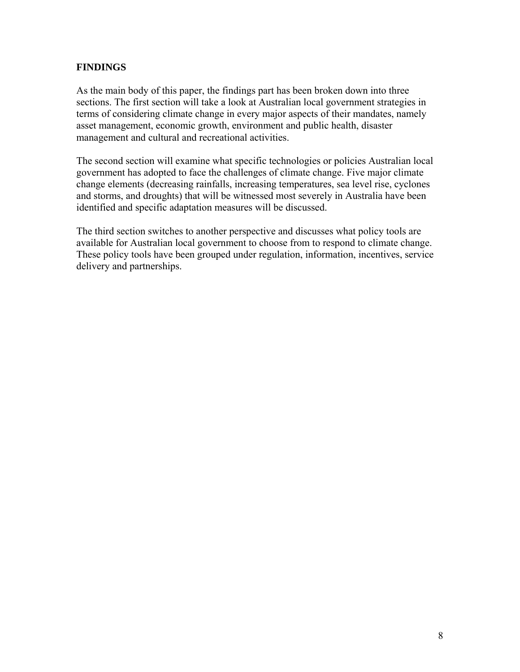## **FINDINGS**

As the main body of this paper, the findings part has been broken down into three sections. The first section will take a look at Australian local government strategies in terms of considering climate change in every major aspects of their mandates, namely asset management, economic growth, environment and public health, disaster management and cultural and recreational activities.

The second section will examine what specific technologies or policies Australian local government has adopted to face the challenges of climate change. Five major climate change elements (decreasing rainfalls, increasing temperatures, sea level rise, cyclones and storms, and droughts) that will be witnessed most severely in Australia have been identified and specific adaptation measures will be discussed.

The third section switches to another perspective and discusses what policy tools are available for Australian local government to choose from to respond to climate change. These policy tools have been grouped under regulation, information, incentives, service delivery and partnerships.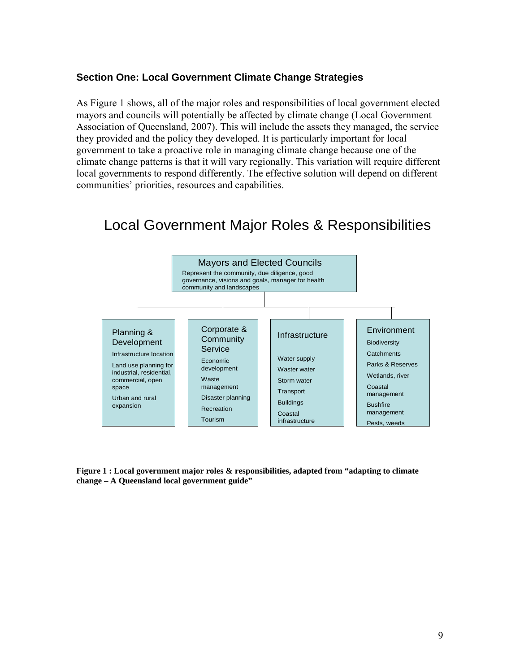### **Section One: Local Government Climate Change Strategies**

As Figure 1 shows, all of the major roles and responsibilities of local government elected mayors and councils will potentially be affected by climate change (Local Government Association of Queensland, 2007). This will include the assets they managed, the service they provided and the policy they developed. It is particularly important for local government to take a proactive role in managing climate change because one of the climate change patterns is that it will vary regionally. This variation will require different local governments to respond differently. The effective solution will depend on different communities' priorities, resources and capabilities.

# Local Government Major Roles & Responsibilities



**Figure 1 : Local government major roles & responsibilities, adapted from "adapting to climate change – A Queensland local government guide"**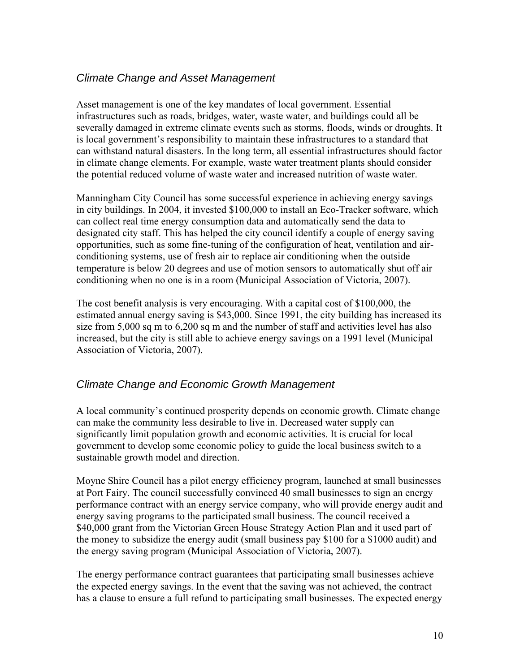## *Climate Change and Asset Management*

Asset management is one of the key mandates of local government. Essential infrastructures such as roads, bridges, water, waste water, and buildings could all be severally damaged in extreme climate events such as storms, floods, winds or droughts. It is local government's responsibility to maintain these infrastructures to a standard that can withstand natural disasters. In the long term, all essential infrastructures should factor in climate change elements. For example, waste water treatment plants should consider the potential reduced volume of waste water and increased nutrition of waste water.

Manningham City Council has some successful experience in achieving energy savings in city buildings. In 2004, it invested \$100,000 to install an Eco-Tracker software, which can collect real time energy consumption data and automatically send the data to designated city staff. This has helped the city council identify a couple of energy saving opportunities, such as some fine-tuning of the configuration of heat, ventilation and airconditioning systems, use of fresh air to replace air conditioning when the outside temperature is below 20 degrees and use of motion sensors to automatically shut off air conditioning when no one is in a room (Municipal Association of Victoria, 2007).

The cost benefit analysis is very encouraging. With a capital cost of \$100,000, the estimated annual energy saving is \$43,000. Since 1991, the city building has increased its size from 5,000 sq m to 6,200 sq m and the number of staff and activities level has also increased, but the city is still able to achieve energy savings on a 1991 level (Municipal Association of Victoria, 2007).

## *Climate Change and Economic Growth Management*

A local community's continued prosperity depends on economic growth. Climate change can make the community less desirable to live in. Decreased water supply can significantly limit population growth and economic activities. It is crucial for local government to develop some economic policy to guide the local business switch to a sustainable growth model and direction.

Moyne Shire Council has a pilot energy efficiency program, launched at small businesses at Port Fairy. The council successfully convinced 40 small businesses to sign an energy performance contract with an energy service company, who will provide energy audit and energy saving programs to the participated small business. The council received a \$40,000 grant from the Victorian Green House Strategy Action Plan and it used part of the money to subsidize the energy audit (small business pay \$100 for a \$1000 audit) and the energy saving program (Municipal Association of Victoria, 2007).

The energy performance contract guarantees that participating small businesses achieve the expected energy savings. In the event that the saving was not achieved, the contract has a clause to ensure a full refund to participating small businesses. The expected energy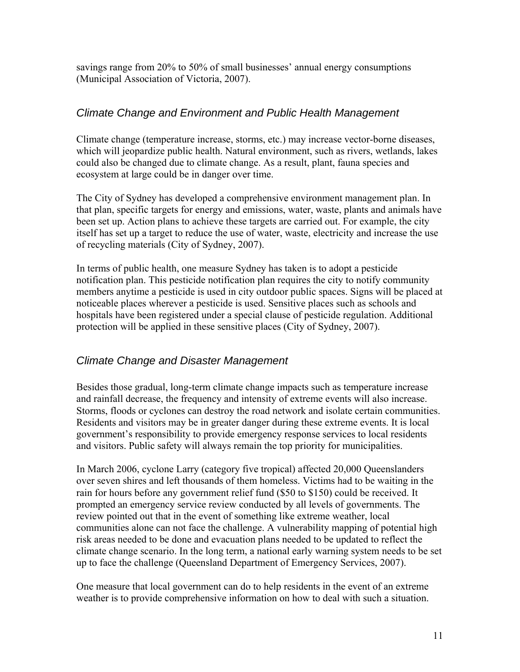savings range from 20% to 50% of small businesses' annual energy consumptions (Municipal Association of Victoria, 2007).

## *Climate Change and Environment and Public Health Management*

Climate change (temperature increase, storms, etc.) may increase vector-borne diseases, which will jeopardize public health. Natural environment, such as rivers, wetlands, lakes could also be changed due to climate change. As a result, plant, fauna species and ecosystem at large could be in danger over time.

The City of Sydney has developed a comprehensive environment management plan. In that plan, specific targets for energy and emissions, water, waste, plants and animals have been set up. Action plans to achieve these targets are carried out. For example, the city itself has set up a target to reduce the use of water, waste, electricity and increase the use of recycling materials (City of Sydney, 2007).

In terms of public health, one measure Sydney has taken is to adopt a pesticide notification plan. This pesticide notification plan requires the city to notify community members anytime a pesticide is used in city outdoor public spaces. Signs will be placed at noticeable places wherever a pesticide is used. Sensitive places such as schools and hospitals have been registered under a special clause of pesticide regulation. Additional protection will be applied in these sensitive places (City of Sydney, 2007).

## *Climate Change and Disaster Management*

Besides those gradual, long-term climate change impacts such as temperature increase and rainfall decrease, the frequency and intensity of extreme events will also increase. Storms, floods or cyclones can destroy the road network and isolate certain communities. Residents and visitors may be in greater danger during these extreme events. It is local government's responsibility to provide emergency response services to local residents and visitors. Public safety will always remain the top priority for municipalities.

In March 2006, cyclone Larry (category five tropical) affected 20,000 Queenslanders over seven shires and left thousands of them homeless. Victims had to be waiting in the rain for hours before any government relief fund (\$50 to \$150) could be received. It prompted an emergency service review conducted by all levels of governments. The review pointed out that in the event of something like extreme weather, local communities alone can not face the challenge. A vulnerability mapping of potential high risk areas needed to be done and evacuation plans needed to be updated to reflect the climate change scenario. In the long term, a national early warning system needs to be set up to face the challenge (Queensland Department of Emergency Services, 2007).

One measure that local government can do to help residents in the event of an extreme weather is to provide comprehensive information on how to deal with such a situation.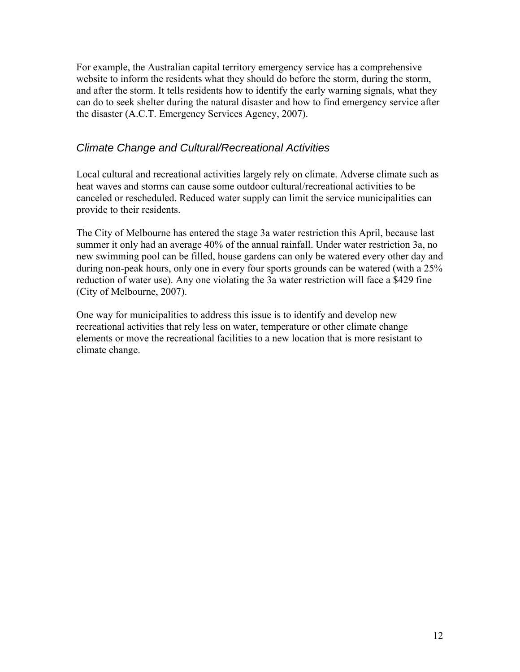For example, the Australian capital territory emergency service has a comprehensive website to inform the residents what they should do before the storm, during the storm, and after the storm. It tells residents how to identify the early warning signals, what they can do to seek shelter during the natural disaster and how to find emergency service after the disaster (A.C.T. Emergency Services Agency, 2007).

## *Climate Change and Cultural/Recreational Activities*

Local cultural and recreational activities largely rely on climate. Adverse climate such as heat waves and storms can cause some outdoor cultural/recreational activities to be canceled or rescheduled. Reduced water supply can limit the service municipalities can provide to their residents.

The City of Melbourne has entered the stage 3a water restriction this April, because last summer it only had an average 40% of the annual rainfall. Under water restriction 3a, no new swimming pool can be filled, house gardens can only be watered every other day and during non-peak hours, only one in every four sports grounds can be watered (with a 25% reduction of water use). Any one violating the 3a water restriction will face a \$429 fine (City of Melbourne, 2007).

One way for municipalities to address this issue is to identify and develop new recreational activities that rely less on water, temperature or other climate change elements or move the recreational facilities to a new location that is more resistant to climate change.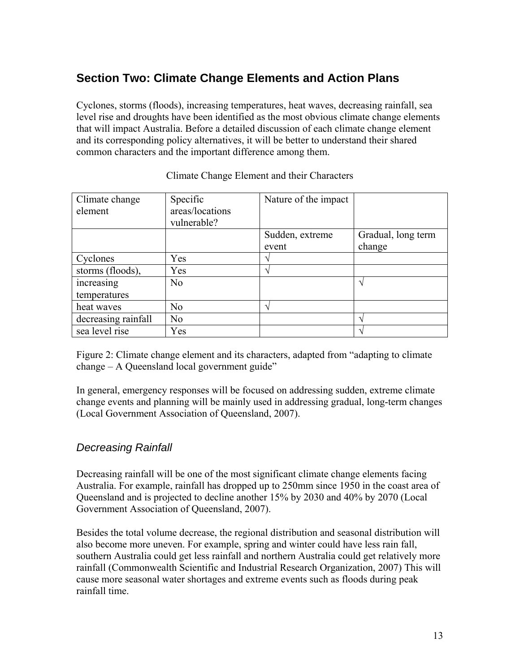## **Section Two: Climate Change Elements and Action Plans**

Cyclones, storms (floods), increasing temperatures, heat waves, decreasing rainfall, sea level rise and droughts have been identified as the most obvious climate change elements that will impact Australia. Before a detailed discussion of each climate change element and its corresponding policy alternatives, it will be better to understand their shared common characters and the important difference among them.

| Climate change<br>element | Specific<br>areas/locations<br>vulnerable? | Nature of the impact     |                    |
|---------------------------|--------------------------------------------|--------------------------|--------------------|
|                           |                                            | Sudden, extreme          | Gradual, long term |
|                           |                                            | event                    | change             |
| Cyclones                  | Yes                                        | $\overline{\phantom{a}}$ |                    |
| storms (floods),          | Yes                                        | $\overline{\phantom{a}}$ |                    |
| increasing                | No                                         |                          | $\mathcal{N}$      |
| temperatures              |                                            |                          |                    |
| heat waves                | N <sub>o</sub>                             | $\overline{\phantom{a}}$ |                    |
| decreasing rainfall       | N <sub>0</sub>                             |                          | $\mathbf \Lambda$  |
| sea level rise            | Yes                                        |                          |                    |

#### Climate Change Element and their Characters

Figure 2: Climate change element and its characters, adapted from "adapting to climate change – A Queensland local government guide"

In general, emergency responses will be focused on addressing sudden, extreme climate change events and planning will be mainly used in addressing gradual, long-term changes (Local Government Association of Queensland, 2007).

## *Decreasing Rainfall*

Decreasing rainfall will be one of the most significant climate change elements facing Australia. For example, rainfall has dropped up to 250mm since 1950 in the coast area of Queensland and is projected to decline another 15% by 2030 and 40% by 2070 (Local Government Association of Queensland, 2007).

Besides the total volume decrease, the regional distribution and seasonal distribution will also become more uneven. For example, spring and winter could have less rain fall, southern Australia could get less rainfall and northern Australia could get relatively more rainfall (Commonwealth Scientific and Industrial Research Organization, 2007) This will cause more seasonal water shortages and extreme events such as floods during peak rainfall time.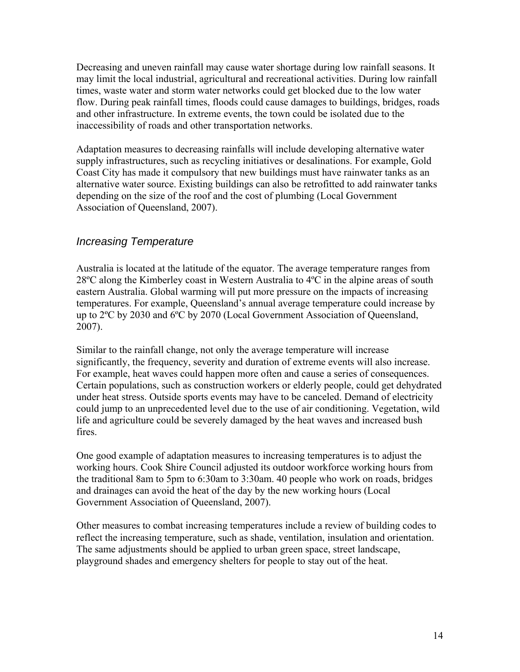Decreasing and uneven rainfall may cause water shortage during low rainfall seasons. It may limit the local industrial, agricultural and recreational activities. During low rainfall times, waste water and storm water networks could get blocked due to the low water flow. During peak rainfall times, floods could cause damages to buildings, bridges, roads and other infrastructure. In extreme events, the town could be isolated due to the inaccessibility of roads and other transportation networks.

Adaptation measures to decreasing rainfalls will include developing alternative water supply infrastructures, such as recycling initiatives or desalinations. For example, Gold Coast City has made it compulsory that new buildings must have rainwater tanks as an alternative water source. Existing buildings can also be retrofitted to add rainwater tanks depending on the size of the roof and the cost of plumbing (Local Government Association of Queensland, 2007).

## *Increasing Temperature*

Australia is located at the latitude of the equator. The average temperature ranges from 28ºC along the Kimberley coast in Western Australia to 4ºC in the alpine areas of south eastern Australia. Global warming will put more pressure on the impacts of increasing temperatures. For example, Queensland's annual average temperature could increase by up to 2ºC by 2030 and 6ºC by 2070 (Local Government Association of Queensland, 2007).

Similar to the rainfall change, not only the average temperature will increase significantly, the frequency, severity and duration of extreme events will also increase. For example, heat waves could happen more often and cause a series of consequences. Certain populations, such as construction workers or elderly people, could get dehydrated under heat stress. Outside sports events may have to be canceled. Demand of electricity could jump to an unprecedented level due to the use of air conditioning. Vegetation, wild life and agriculture could be severely damaged by the heat waves and increased bush fires.

One good example of adaptation measures to increasing temperatures is to adjust the working hours. Cook Shire Council adjusted its outdoor workforce working hours from the traditional 8am to 5pm to 6:30am to 3:30am. 40 people who work on roads, bridges and drainages can avoid the heat of the day by the new working hours (Local Government Association of Queensland, 2007).

Other measures to combat increasing temperatures include a review of building codes to reflect the increasing temperature, such as shade, ventilation, insulation and orientation. The same adjustments should be applied to urban green space, street landscape, playground shades and emergency shelters for people to stay out of the heat.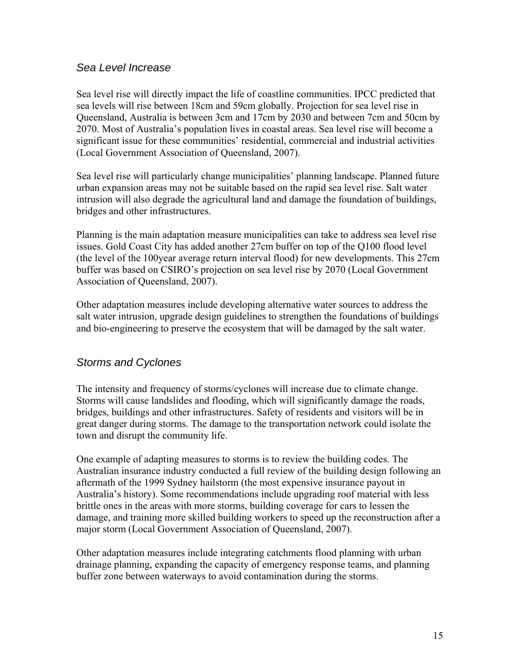## *Sea Level Increase*

Sea level rise will directly impact the life of coastline communities. IPCC predicted that sea levels will rise between 18cm and 59cm globally. Projection for sea level rise in Queensland, Australia is between 3cm and 17cm by 2030 and between 7cm and 50cm by 2070. Most of Australia's population lives in coastal areas. Sea level rise will become a significant issue for these communities' residential, commercial and industrial activities (Local Government Association of Queensland, 2007).

Sea level rise will particularly change municipalities' planning landscape. Planned future urban expansion areas may not be suitable based on the rapid sea level rise. Salt water intrusion will also degrade the agricultural land and damage the foundation of buildings, bridges and other infrastructures.

Planning is the main adaptation measure municipalities can take to address sea level rise issues. Gold Coast City has added another 27cm buffer on top of the Q100 flood level (the level of the 100year average return interval flood) for new developments. This 27cm buffer was based on CSIRO's projection on sea level rise by 2070 (Local Government Association of Queensland, 2007).

Other adaptation measures include developing alternative water sources to address the salt water intrusion, upgrade design guidelines to strengthen the foundations of buildings and bio-engineering to preserve the ecosystem that will be damaged by the salt water.

## *Storms and Cyclones*

The intensity and frequency of storms/cyclones will increase due to climate change. Storms will cause landslides and flooding, which will significantly damage the roads, bridges, buildings and other infrastructures. Safety of residents and visitors will be in great danger during storms. The damage to the transportation network could isolate the town and disrupt the community life.

One example of adapting measures to storms is to review the building codes. The Australian insurance industry conducted a full review of the building design following an aftermath of the 1999 Sydney hailstorm (the most expensive insurance payout in Australia's history). Some recommendations include upgrading roof material with less brittle ones in the areas with more storms, building coverage for cars to lessen the damage, and training more skilled building workers to speed up the reconstruction after a major storm (Local Government Association of Queensland, 2007).

Other adaptation measures include integrating catchments flood planning with urban drainage planning, expanding the capacity of emergency response teams, and planning buffer zone between waterways to avoid contamination during the storms.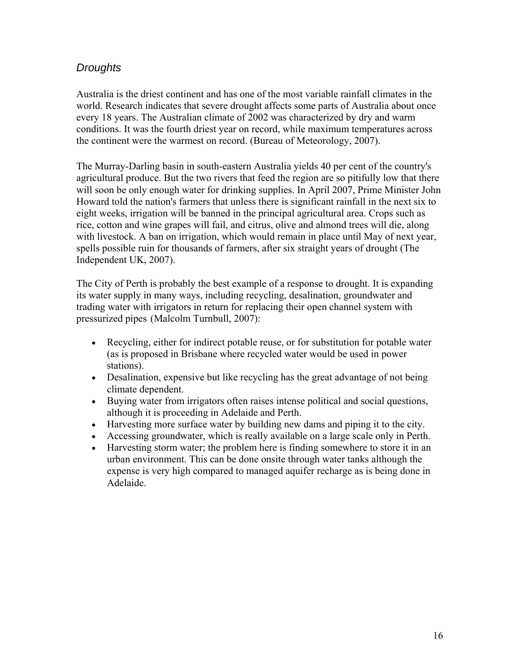## *Droughts*

Australia is the driest continent and has one of the most variable rainfall climates in the world. Research indicates that severe drought affects some parts of Australia about once every 18 years. The Australian climate of 2002 was characterized by dry and warm conditions. It was the fourth driest year on record, while maximum temperatures across the continent were the warmest on record. (Bureau of Meteorology, 2007).

The Murray-Darling basin in south-eastern Australia yields 40 per cent of the country's agricultural produce. But the two rivers that feed the region are so pitifully low that there will soon be only enough water for drinking supplies. In April 2007, Prime Minister John Howard told the nation's farmers that unless there is significant rainfall in the next six to eight weeks, irrigation will be banned in the principal agricultural area. Crops such as rice, cotton and wine grapes will fail, and citrus, olive and almond trees will die, along with livestock. A ban on irrigation, which would remain in place until May of next year, spells possible ruin for thousands of farmers, after six straight years of drought (The Independent UK, 2007).

The City of Perth is probably the best example of a response to drought. It is expanding its water supply in many ways, including recycling, desalination, groundwater and trading water with irrigators in return for replacing their open channel system with pressurized pipes (Malcolm Turnbull, 2007):

- Recycling, either for indirect potable reuse, or for substitution for potable water (as is proposed in Brisbane where recycled water would be used in power stations).
- Desalination, expensive but like recycling has the great advantage of not being climate dependent.
- Buying water from irrigators often raises intense political and social questions, although it is proceeding in Adelaide and Perth.
- Harvesting more surface water by building new dams and piping it to the city.
- Accessing groundwater, which is really available on a large scale only in Perth.
- Harvesting storm water; the problem here is finding somewhere to store it in an urban environment. This can be done onsite through water tanks although the expense is very high compared to managed aquifer recharge as is being done in Adelaide.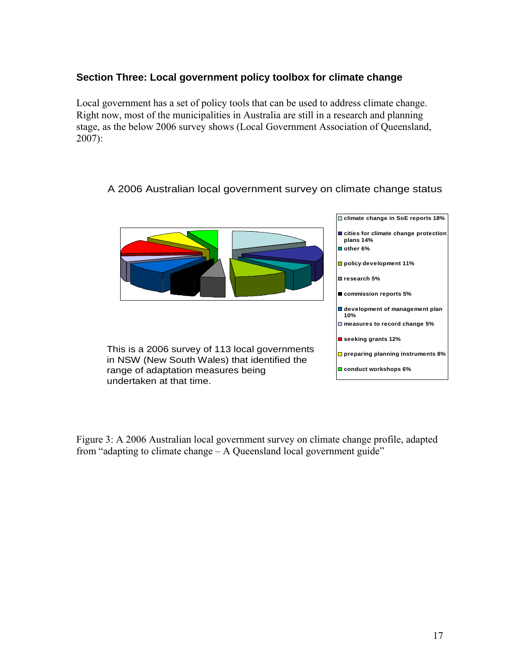## **Section Three: Local government policy toolbox for climate change**

Local government has a set of policy tools that can be used to address climate change. Right now, most of the municipalities in Australia are still in a research and planning stage, as the below 2006 survey shows (Local Government Association of Queensland, 2007):

## A 2006 Australian local government survey on climate change status



Figure 3: A 2006 Australian local government survey on climate change profile, adapted from "adapting to climate change – A Queensland local government guide"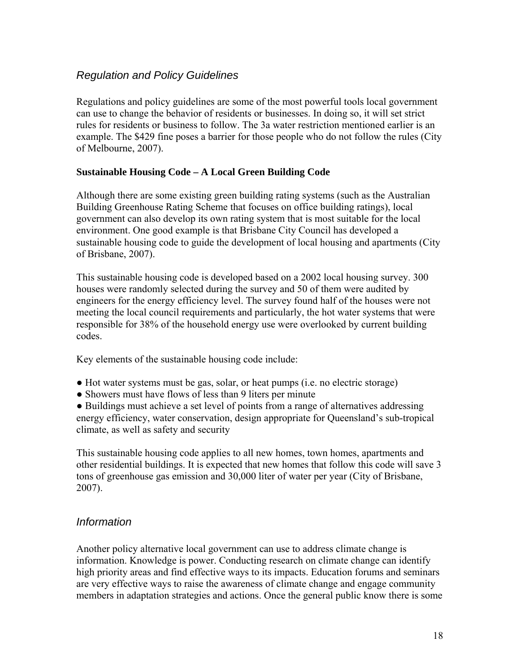## *Regulation and Policy Guidelines*

Regulations and policy guidelines are some of the most powerful tools local government can use to change the behavior of residents or businesses. In doing so, it will set strict rules for residents or business to follow. The 3a water restriction mentioned earlier is an example. The \$429 fine poses a barrier for those people who do not follow the rules (City of Melbourne, 2007).

#### **Sustainable Housing Code – A Local Green Building Code**

Although there are some existing green building rating systems (such as the Australian Building Greenhouse Rating Scheme that focuses on office building ratings), local government can also develop its own rating system that is most suitable for the local environment. One good example is that Brisbane City Council has developed a sustainable housing code to guide the development of local housing and apartments (City of Brisbane, 2007).

This sustainable housing code is developed based on a 2002 local housing survey. 300 houses were randomly selected during the survey and 50 of them were audited by engineers for the energy efficiency level. The survey found half of the houses were not meeting the local council requirements and particularly, the hot water systems that were responsible for 38% of the household energy use were overlooked by current building codes.

Key elements of the sustainable housing code include:

- Hot water systems must be gas, solar, or heat pumps (i.e. no electric storage)
- Showers must have flows of less than 9 liters per minute

● Buildings must achieve a set level of points from a range of alternatives addressing energy efficiency, water conservation, design appropriate for Queensland's sub-tropical climate, as well as safety and security

This sustainable housing code applies to all new homes, town homes, apartments and other residential buildings. It is expected that new homes that follow this code will save 3 tons of greenhouse gas emission and 30,000 liter of water per year (City of Brisbane, 2007).

## *Information*

Another policy alternative local government can use to address climate change is information. Knowledge is power. Conducting research on climate change can identify high priority areas and find effective ways to its impacts. Education forums and seminars are very effective ways to raise the awareness of climate change and engage community members in adaptation strategies and actions. Once the general public know there is some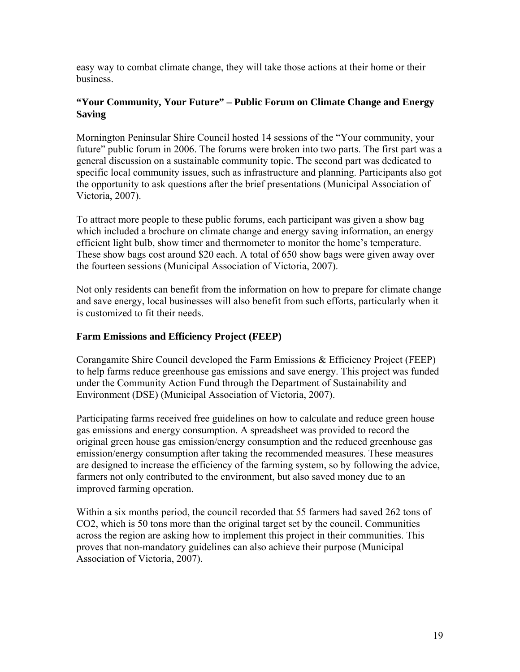easy way to combat climate change, they will take those actions at their home or their business.

### **"Your Community, Your Future" – Public Forum on Climate Change and Energy Saving**

Mornington Peninsular Shire Council hosted 14 sessions of the "Your community, your future" public forum in 2006. The forums were broken into two parts. The first part was a general discussion on a sustainable community topic. The second part was dedicated to specific local community issues, such as infrastructure and planning. Participants also got the opportunity to ask questions after the brief presentations (Municipal Association of Victoria, 2007).

To attract more people to these public forums, each participant was given a show bag which included a brochure on climate change and energy saving information, an energy efficient light bulb, show timer and thermometer to monitor the home's temperature. These show bags cost around \$20 each. A total of 650 show bags were given away over the fourteen sessions (Municipal Association of Victoria, 2007).

Not only residents can benefit from the information on how to prepare for climate change and save energy, local businesses will also benefit from such efforts, particularly when it is customized to fit their needs.

### **Farm Emissions and Efficiency Project (FEEP)**

Corangamite Shire Council developed the Farm Emissions & Efficiency Project (FEEP) to help farms reduce greenhouse gas emissions and save energy. This project was funded under the Community Action Fund through the Department of Sustainability and Environment (DSE) (Municipal Association of Victoria, 2007).

Participating farms received free guidelines on how to calculate and reduce green house gas emissions and energy consumption. A spreadsheet was provided to record the original green house gas emission/energy consumption and the reduced greenhouse gas emission/energy consumption after taking the recommended measures. These measures are designed to increase the efficiency of the farming system, so by following the advice, farmers not only contributed to the environment, but also saved money due to an improved farming operation.

Within a six months period, the council recorded that 55 farmers had saved 262 tons of CO2, which is 50 tons more than the original target set by the council. Communities across the region are asking how to implement this project in their communities. This proves that non-mandatory guidelines can also achieve their purpose (Municipal Association of Victoria, 2007).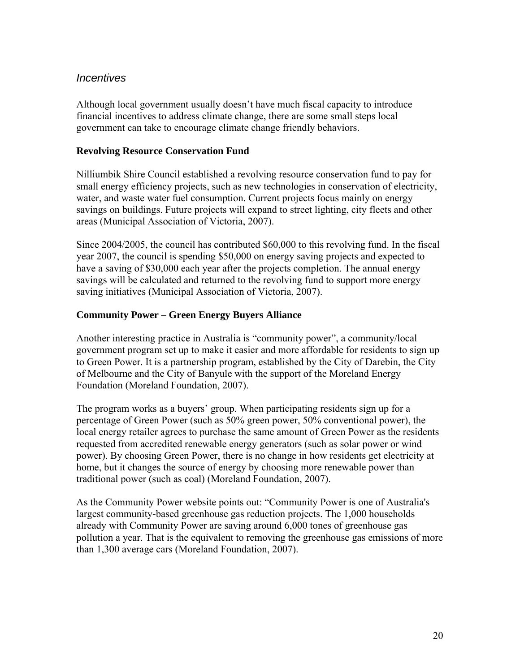## *Incentives*

Although local government usually doesn't have much fiscal capacity to introduce financial incentives to address climate change, there are some small steps local government can take to encourage climate change friendly behaviors.

### **Revolving Resource Conservation Fund**

Nilliumbik Shire Council established a revolving resource conservation fund to pay for small energy efficiency projects, such as new technologies in conservation of electricity, water, and waste water fuel consumption. Current projects focus mainly on energy savings on buildings. Future projects will expand to street lighting, city fleets and other areas (Municipal Association of Victoria, 2007).

Since 2004/2005, the council has contributed \$60,000 to this revolving fund. In the fiscal year 2007, the council is spending \$50,000 on energy saving projects and expected to have a saving of \$30,000 each year after the projects completion. The annual energy savings will be calculated and returned to the revolving fund to support more energy saving initiatives (Municipal Association of Victoria, 2007).

## **Community Power – Green Energy Buyers Alliance**

Another interesting practice in Australia is "community power", a community/local government program set up to make it easier and more affordable for residents to sign up to Green Power. It is a partnership program, established by the City of Darebin, the City of Melbourne and the City of Banyule with the support of the Moreland Energy Foundation (Moreland Foundation, 2007).

The program works as a buyers' group. When participating residents sign up for a percentage of Green Power (such as 50% green power, 50% conventional power), the local energy retailer agrees to purchase the same amount of Green Power as the residents requested from accredited renewable energy generators (such as solar power or wind power). By choosing Green Power, there is no change in how residents get electricity at home, but it changes the source of energy by choosing more renewable power than traditional power (such as coal) (Moreland Foundation, 2007).

As the Community Power website points out: "Community Power is one of Australia's largest community-based greenhouse gas reduction projects. The 1,000 households already with Community Power are saving around 6,000 tones of greenhouse gas pollution a year. That is the equivalent to removing the greenhouse gas emissions of more than 1,300 average cars (Moreland Foundation, 2007).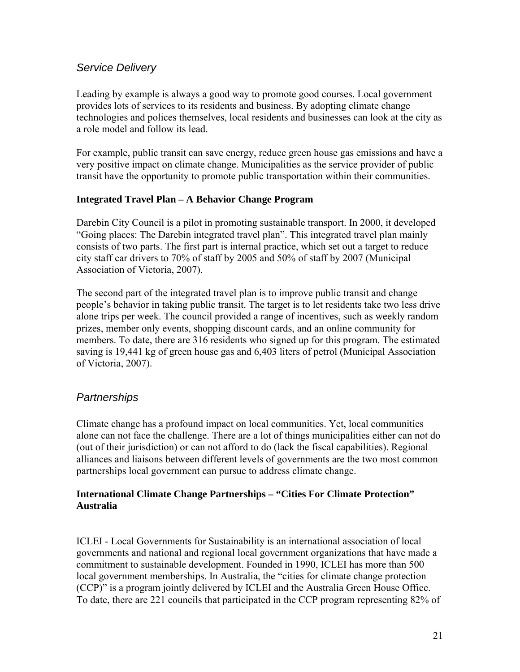## *Service Delivery*

Leading by example is always a good way to promote good courses. Local government provides lots of services to its residents and business. By adopting climate change technologies and polices themselves, local residents and businesses can look at the city as a role model and follow its lead.

For example, public transit can save energy, reduce green house gas emissions and have a very positive impact on climate change. Municipalities as the service provider of public transit have the opportunity to promote public transportation within their communities.

#### **Integrated Travel Plan – A Behavior Change Program**

Darebin City Council is a pilot in promoting sustainable transport. In 2000, it developed "Going places: The Darebin integrated travel plan". This integrated travel plan mainly consists of two parts. The first part is internal practice, which set out a target to reduce city staff car drivers to 70% of staff by 2005 and 50% of staff by 2007 (Municipal Association of Victoria, 2007).

The second part of the integrated travel plan is to improve public transit and change people's behavior in taking public transit. The target is to let residents take two less drive alone trips per week. The council provided a range of incentives, such as weekly random prizes, member only events, shopping discount cards, and an online community for members. To date, there are 316 residents who signed up for this program. The estimated saving is 19,441 kg of green house gas and 6,403 liters of petrol (Municipal Association of Victoria, 2007).

## *Partnerships*

Climate change has a profound impact on local communities. Yet, local communities alone can not face the challenge. There are a lot of things municipalities either can not do (out of their jurisdiction) or can not afford to do (lack the fiscal capabilities). Regional alliances and liaisons between different levels of governments are the two most common partnerships local government can pursue to address climate change.

#### **International Climate Change Partnerships – "Cities For Climate Protection" Australia**

ICLEI - Local Governments for Sustainability is an international association of local governments and national and regional local government organizations that have made a commitment to sustainable development. Founded in 1990, ICLEI has more than 500 local government memberships. In Australia, the "cities for climate change protection (CCP)" is a program jointly delivered by ICLEI and the Australia Green House Office. To date, there are 221 councils that participated in the CCP program representing 82% of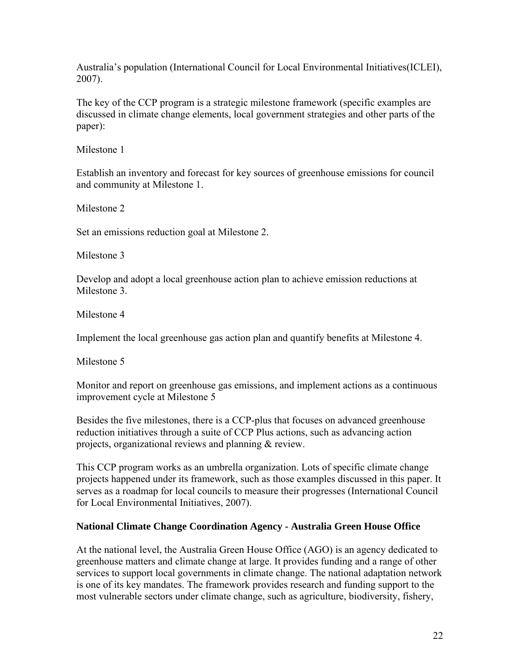Australia's population (International Council for Local Environmental Initiatives(ICLEI), 2007).

The key of the CCP program is a strategic milestone framework (specific examples are discussed in climate change elements, local government strategies and other parts of the paper):

Milestone 1

Establish an inventory and forecast for key sources of greenhouse emissions for council and community at Milestone 1.

Milestone 2

Set an emissions reduction goal at Milestone 2.

Milestone 3

Develop and adopt a local greenhouse action plan to achieve emission reductions at Milestone 3.

Milestone 4

Implement the local greenhouse gas action plan and quantify benefits at Milestone 4.

Milestone 5

Monitor and report on greenhouse gas emissions, and implement actions as a continuous improvement cycle at Milestone 5

Besides the five milestones, there is a CCP-plus that focuses on advanced greenhouse reduction initiatives through a suite of CCP Plus actions, such as advancing action projects, organizational reviews and planning & review.

This CCP program works as an umbrella organization. Lots of specific climate change projects happened under its framework, such as those examples discussed in this paper. It serves as a roadmap for local councils to measure their progresses (International Council for Local Environmental Initiatives, 2007).

#### **National Climate Change Coordination Agency - Australia Green House Office**

At the national level, the Australia Green House Office (AGO) is an agency dedicated to greenhouse matters and climate change at large. It provides funding and a range of other services to support local governments in climate change. The national adaptation network is one of its key mandates. The framework provides research and funding support to the most vulnerable sectors under climate change, such as agriculture, biodiversity, fishery,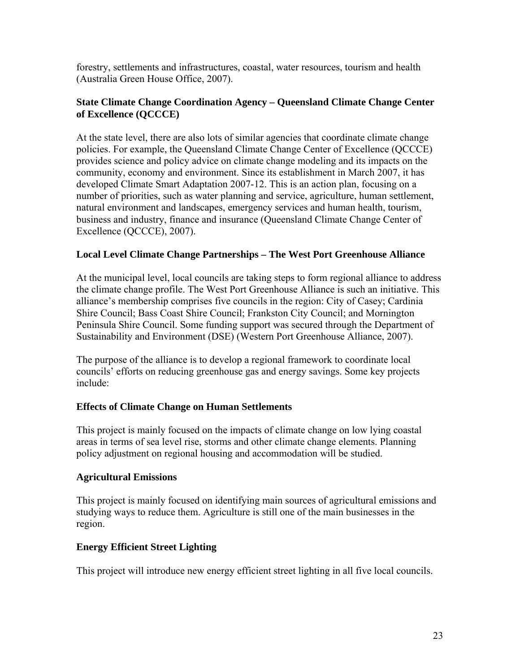forestry, settlements and infrastructures, coastal, water resources, tourism and health (Australia Green House Office, 2007).

#### **State Climate Change Coordination Agency – Queensland Climate Change Center of Excellence (QCCCE)**

At the state level, there are also lots of similar agencies that coordinate climate change policies. For example, the Queensland Climate Change Center of Excellence (QCCCE) provides science and policy advice on climate change modeling and its impacts on the community, economy and environment. Since its establishment in March 2007, it has developed Climate Smart Adaptation 2007-12. This is an action plan, focusing on a number of priorities, such as water planning and service, agriculture, human settlement, natural environment and landscapes, emergency services and human health, tourism, business and industry, finance and insurance (Queensland Climate Change Center of Excellence (QCCCE), 2007).

#### **Local Level Climate Change Partnerships – The West Port Greenhouse Alliance**

At the municipal level, local councils are taking steps to form regional alliance to address the climate change profile. The West Port Greenhouse Alliance is such an initiative. This alliance's membership comprises five councils in the region: City of Casey; Cardinia Shire Council; Bass Coast Shire Council; Frankston City Council; and Mornington Peninsula Shire Council. Some funding support was secured through the Department of Sustainability and Environment (DSE) (Western Port Greenhouse Alliance, 2007).

The purpose of the alliance is to develop a regional framework to coordinate local councils' efforts on reducing greenhouse gas and energy savings. Some key projects include:

#### **Effects of Climate Change on Human Settlements**

This project is mainly focused on the impacts of climate change on low lying coastal areas in terms of sea level rise, storms and other climate change elements. Planning policy adjustment on regional housing and accommodation will be studied.

#### **Agricultural Emissions**

This project is mainly focused on identifying main sources of agricultural emissions and studying ways to reduce them. Agriculture is still one of the main businesses in the region.

#### **Energy Efficient Street Lighting**

This project will introduce new energy efficient street lighting in all five local councils.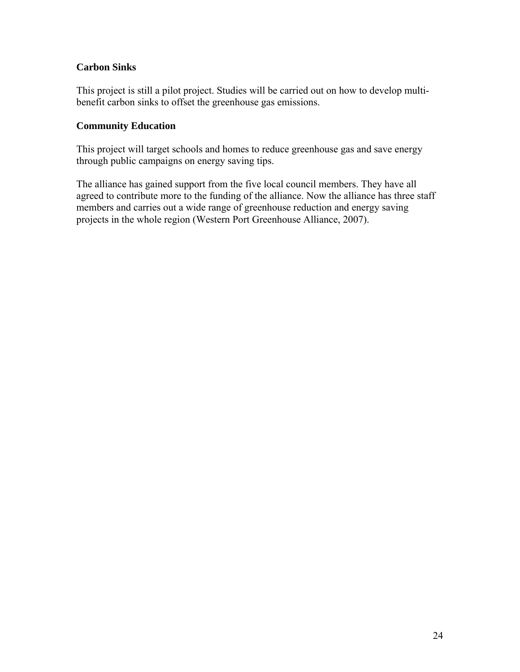#### **Carbon Sinks**

This project is still a pilot project. Studies will be carried out on how to develop multibenefit carbon sinks to offset the greenhouse gas emissions.

#### **Community Education**

This project will target schools and homes to reduce greenhouse gas and save energy through public campaigns on energy saving tips.

The alliance has gained support from the five local council members. They have all agreed to contribute more to the funding of the alliance. Now the alliance has three staff members and carries out a wide range of greenhouse reduction and energy saving projects in the whole region (Western Port Greenhouse Alliance, 2007).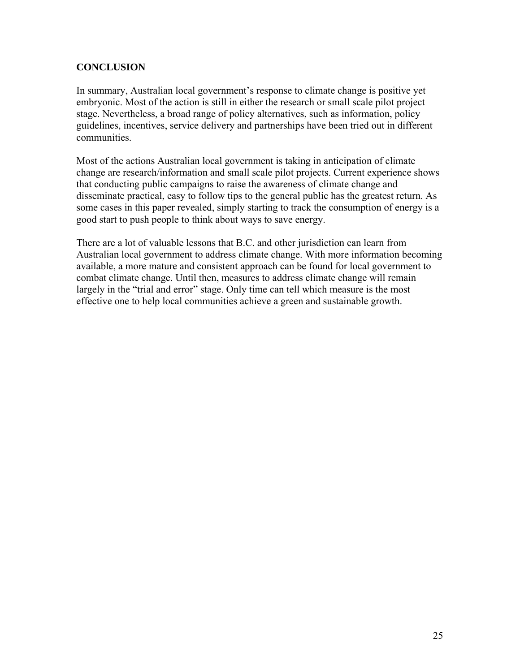## **CONCLUSION**

In summary, Australian local government's response to climate change is positive yet embryonic. Most of the action is still in either the research or small scale pilot project stage. Nevertheless, a broad range of policy alternatives, such as information, policy guidelines, incentives, service delivery and partnerships have been tried out in different communities.

Most of the actions Australian local government is taking in anticipation of climate change are research/information and small scale pilot projects. Current experience shows that conducting public campaigns to raise the awareness of climate change and disseminate practical, easy to follow tips to the general public has the greatest return. As some cases in this paper revealed, simply starting to track the consumption of energy is a good start to push people to think about ways to save energy.

There are a lot of valuable lessons that B.C. and other jurisdiction can learn from Australian local government to address climate change. With more information becoming available, a more mature and consistent approach can be found for local government to combat climate change. Until then, measures to address climate change will remain largely in the "trial and error" stage. Only time can tell which measure is the most effective one to help local communities achieve a green and sustainable growth.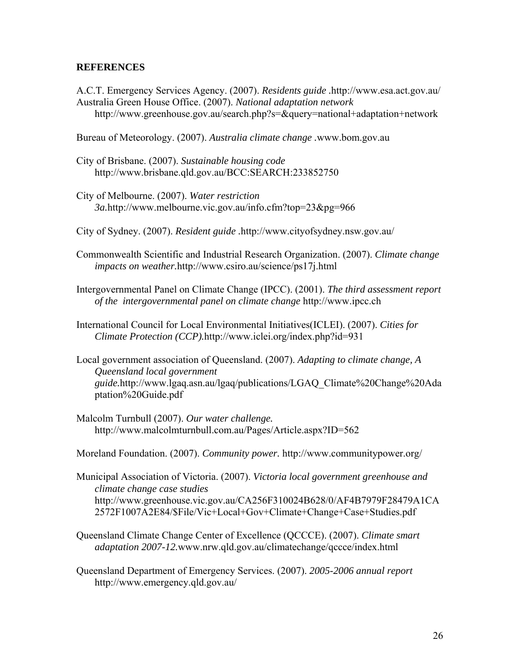#### **REFERENCES**

A.C.T. Emergency Services Agency. (2007). *Residents guide .*http://www.esa.act.gov.au/ Australia Green House Office. (2007). *National adaptation network*  http://www.greenhouse.gov.au/search.php?s=&query=national+adaptation+network

Bureau of Meteorology. (2007). *Australia climate change .*www.bom.gov.au

- City of Brisbane. (2007). *Sustainable housing code*  http://www.brisbane.qld.gov.au/BCC:SEARCH:233852750
- City of Melbourne. (2007). *Water restriction 3a.*http://www.melbourne.vic.gov.au/info.cfm?top=23&pg=966
- City of Sydney. (2007). *Resident guide .*http://www.cityofsydney.nsw.gov.au/
- Commonwealth Scientific and Industrial Research Organization. (2007). *Climate change impacts on weather.*http://www.csiro.au/science/ps17j.html
- Intergovernmental Panel on Climate Change (IPCC). (2001). *The third assessment report of the intergovernmental panel on climate change* http://www.ipcc.ch
- International Council for Local Environmental Initiatives(ICLEI). (2007). *Cities for Climate Protection (CCP).*http://www.iclei.org/index.php?id=931
- Local government association of Queensland. (2007). *Adapting to climate change, A Queensland local government guide.*http://www.lgaq.asn.au/lgaq/publications/LGAQ\_Climate%20Change%20Ada ptation%20Guide.pdf
- Malcolm Turnbull (2007). *Our water challenge.* http://www.malcolmturnbull.com.au/Pages/Article.aspx?ID=562
- Moreland Foundation. (2007). *Community power.* http://www.communitypower.org/
- Municipal Association of Victoria. (2007). *Victoria local government greenhouse and climate change case studies*  http://www.greenhouse.vic.gov.au/CA256F310024B628/0/AF4B7979F28479A1CA 2572F1007A2E84/\$File/Vic+Local+Gov+Climate+Change+Case+Studies.pdf
- Queensland Climate Change Center of Excellence (QCCCE). (2007). *Climate smart adaptation 2007-12.*www.nrw.qld.gov.au/climatechange/qccce/index.html
- Queensland Department of Emergency Services. (2007). *2005-2006 annual report*  http://www.emergency.qld.gov.au/